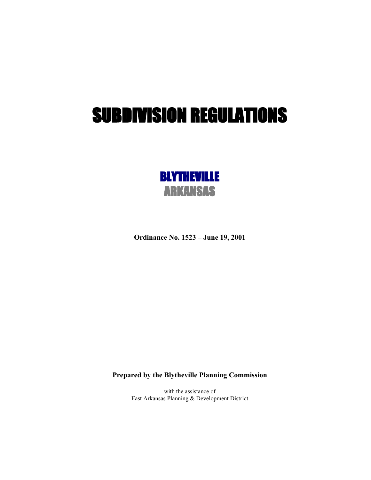# SUBDIVISION REGULATIONS



**Ordinance No. 1523 – June 19, 2001**

**Prepared by the Blytheville Planning Commission**

with the assistance of East Arkansas Planning & Development District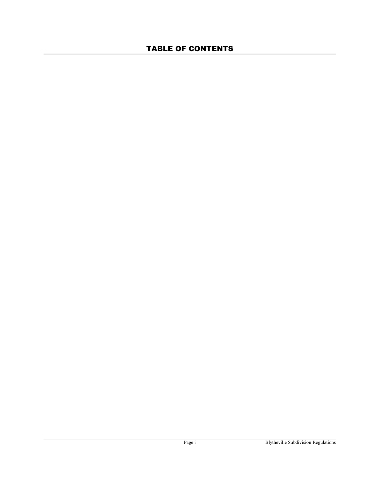# TABLE OF CONTENTS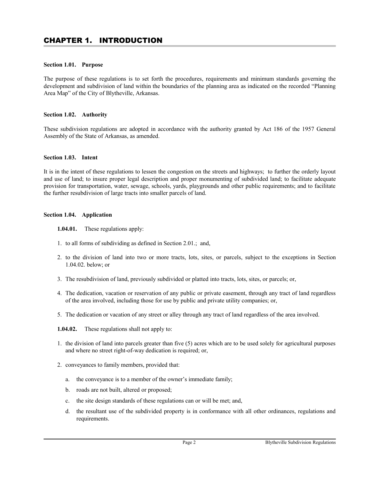# **Section 1.01. Purpose**

The purpose of these regulations is to set forth the procedures, requirements and minimum standards governing the development and subdivision of land within the boundaries of the planning area as indicated on the recorded "Planning Area Map" of the City of Blytheville, Arkansas.

# **Section 1.02. Authority**

These subdivision regulations are adopted in accordance with the authority granted by Act 186 of the 1957 General Assembly of the State of Arkansas, as amended.

### **Section 1.03. Intent**

It is in the intent of these regulations to lessen the congestion on the streets and highways; to further the orderly layout and use of land; to insure proper legal description and proper monumenting of subdivided land; to facilitate adequate provision for transportation, water, sewage, schools, yards, playgrounds and other public requirements; and to facilitate the further resubdivision of large tracts into smaller parcels of land.

#### **Section 1.04. Application**

- **1.04.01.** These regulations apply:
- 1. to all forms of subdividing as defined in Section 2.01.; and,
- 2. to the division of land into two or more tracts, lots, sites, or parcels, subject to the exceptions in Section 1.04.02. below; or
- 3. The resubdivision of land, previously subdivided or platted into tracts, lots, sites, or parcels; or,
- 4. The dedication, vacation or reservation of any public or private easement, through any tract of land regardless of the area involved, including those for use by public and private utility companies; or,
- 5. The dedication or vacation of any street or alley through any tract of land regardless of the area involved.
- **1.04.02.** These regulations shall not apply to:
- 1. the division of land into parcels greater than five (5) acres which are to be used solely for agricultural purposes and where no street right-of-way dedication is required; or,
- 2. conveyances to family members, provided that:
	- a. the conveyance is to a member of the owner's immediate family;
	- b. roads are not built, altered or proposed;
	- c. the site design standards of these regulations can or will be met; and,
	- d. the resultant use of the subdivided property is in conformance with all other ordinances, regulations and requirements.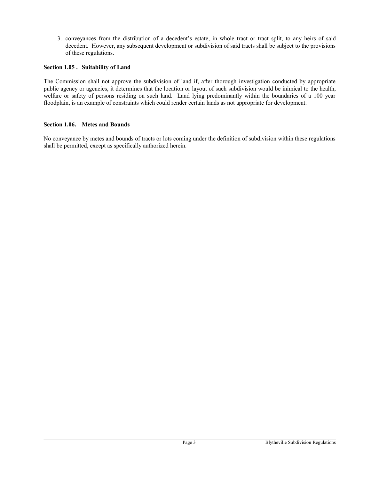3. conveyances from the distribution of a decedent's estate, in whole tract or tract split, to any heirs of said decedent. However, any subsequent development or subdivision of said tracts shall be subject to the provisions of these regulations.

# **Section 1.05 . Suitability of Land**

The Commission shall not approve the subdivision of land if, after thorough investigation conducted by appropriate public agency or agencies, it determines that the location or layout of such subdivision would be inimical to the health, welfare or safety of persons residing on such land. Land lying predominantly within the boundaries of a 100 year floodplain, is an example of constraints which could render certain lands as not appropriate for development.

# **Section 1.06. Metes and Bounds**

No conveyance by metes and bounds of tracts or lots coming under the definition of subdivision within these regulations shall be permitted, except as specifically authorized herein.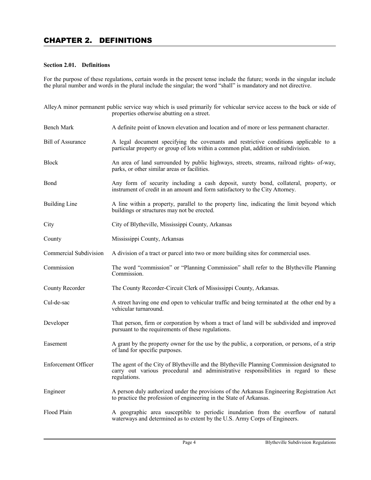# **Section 2.01. Definitions**

For the purpose of these regulations, certain words in the present tense include the future; words in the singular include the plural number and words in the plural include the singular; the word "shall" is mandatory and not directive.

|                            | AlleyA minor permanent public service way which is used primarily for vehicular service access to the back or side of<br>properties otherwise abutting on a street.                               |
|----------------------------|---------------------------------------------------------------------------------------------------------------------------------------------------------------------------------------------------|
| <b>Bench Mark</b>          | A definite point of known elevation and location and of more or less permanent character.                                                                                                         |
| <b>Bill of Assurance</b>   | A legal document specifying the covenants and restrictive conditions applicable to a<br>particular property or group of lots within a common plat, addition or subdivision.                       |
| <b>Block</b>               | An area of land surrounded by public highways, streets, streams, railroad rights- of-way,<br>parks, or other similar areas or facilities.                                                         |
| Bond                       | Any form of security including a cash deposit, surety bond, collateral, property, or<br>instrument of credit in an amount and form satisfactory to the City Attorney.                             |
| <b>Building Line</b>       | A line within a property, parallel to the property line, indicating the limit beyond which<br>buildings or structures may not be erected.                                                         |
| City                       | City of Blytheville, Mississippi County, Arkansas                                                                                                                                                 |
| County                     | Mississippi County, Arkansas                                                                                                                                                                      |
| Commercial Subdivision     | A division of a tract or parcel into two or more building sites for commercial uses.                                                                                                              |
| Commission                 | The word "commission" or "Planning Commission" shall refer to the Blytheville Planning<br>Commission.                                                                                             |
| County Recorder            | The County Recorder-Circuit Clerk of Mississippi County, Arkansas.                                                                                                                                |
| Cul-de-sac                 | A street having one end open to vehicular traffic and being terminated at the other end by a<br>vehicular turnaround.                                                                             |
| Developer                  | That person, firm or corporation by whom a tract of land will be subdivided and improved<br>pursuant to the requirements of these regulations.                                                    |
| Easement                   | A grant by the property owner for the use by the public, a corporation, or persons, of a strip<br>of land for specific purposes.                                                                  |
| <b>Enforcement Officer</b> | The agent of the City of Blytheville and the Blytheville Planning Commission designated to<br>carry out various procedural and administrative responsibilities in regard to these<br>regulations. |
| Engineer                   | A person duly authorized under the provisions of the Arkansas Engineering Registration Act<br>to practice the profession of engineering in the State of Arkansas.                                 |
| Flood Plain                | A geographic area susceptible to periodic inundation from the overflow of natural<br>waterways and determined as to extent by the U.S. Army Corps of Engineers.                                   |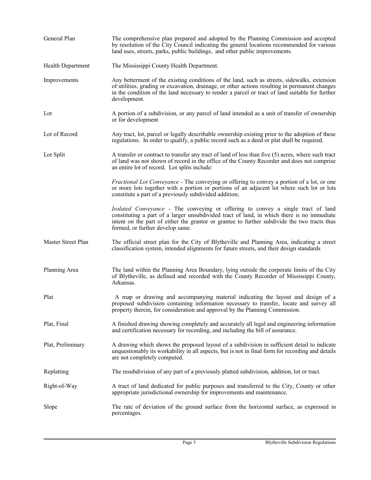| General Plan             | The comprehensive plan prepared and adopted by the Planning Commission and accepted<br>by resolution of the City Council indicating the general locations recommended for various<br>land uses, streets, parks, public buildings, and other public improvements.                                                   |
|--------------------------|--------------------------------------------------------------------------------------------------------------------------------------------------------------------------------------------------------------------------------------------------------------------------------------------------------------------|
| <b>Health Department</b> | The Mississippi County Health Department.                                                                                                                                                                                                                                                                          |
| Improvements             | Any betterment of the existing conditions of the land, such as streets, sidewalks, extension<br>of utilities, grading or excavation, drainage, or other actions resulting in permanent changes<br>in the condition of the land necessary to render a parcel or tract of land suitable for further<br>development.  |
| Lot                      | A portion of a subdivision, or any parcel of land intended as a unit of transfer of ownership<br>or for development                                                                                                                                                                                                |
| Lot of Record            | Any tract, lot, parcel or legally describable ownership existing prior to the adoption of these<br>regulations. In order to qualify, a public record such as a deed or plat shall be required.                                                                                                                     |
| Lot Split                | A transfer or contract to transfer any tract of land of less than five (5) acres, where such tract<br>of land was not shown of record in the office of the County Recorder and does not comprise<br>an entire lot of record. Lot splits include:                                                                   |
|                          | <i>Fractional Lot Conveyance</i> - The conveying or offering to convey a portion of a lot, or one<br>or more lots together with a portion or portions of an adjacent lot where such lot or lots<br>constitute a part of a previously subdivided addition;                                                          |
|                          | Isolated Conveyance - The conveying or offering to convey a single tract of land<br>constituting a part of a larger unsubdivided tract of land, in which there is no immediate<br>intent on the part of either the grantor or grantee to further subdivide the two tracts thus<br>formed, or further develop same. |
| Master Street Plan       | The official street plan for the City of Blytheville and Planning Area, indicating a street<br>classification system, intended alignments for future streets, and their design standards                                                                                                                           |
| Planning Area            | The land within the Planning Area Boundary, lying outside the corporate limits of the City<br>of Blytheville, as defined and recorded with the County Recorder of Mississippi County,<br>Arkansas.                                                                                                                 |
| Plat                     | A map or drawing and accompanying material indicating the layout and design of a<br>proposed subdivision containing information necessary to transfer, locate and survey all<br>property therein, for consideration and approval by the Planning Commission.                                                       |
| Plat, Final              | A finished drawing showing completely and accurately all legal and engineering information<br>and certification necessary for recording, and including the bill of assurance.                                                                                                                                      |
| Plat, Preliminary        | A drawing which shows the proposed layout of a subdivision in sufficient detail to indicate<br>unquestionably its workability in all aspects, but is not in final form for recording and details<br>are not completely computed.                                                                                   |
| Replatting               | The resubdivision of any part of a previously platted subdivision, addition, lot or tract.                                                                                                                                                                                                                         |
| Right-of-Way             | A tract of land dedicated for public purposes and transferred to the City, County or other<br>appropriate jurisdictional ownership for improvements and maintenance.                                                                                                                                               |
| Slope                    | The rate of deviation of the ground surface from the horizontal surface, as expressed in<br>percentages.                                                                                                                                                                                                           |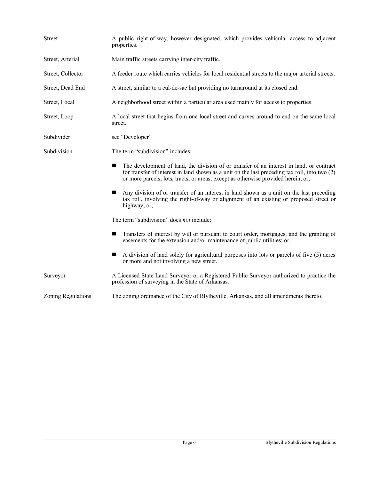| <b>Street</b>      | A public right-of-way, however designated, which provides vehicular access to adjacent<br>properties.                                                                                                                                                                                 |  |  |
|--------------------|---------------------------------------------------------------------------------------------------------------------------------------------------------------------------------------------------------------------------------------------------------------------------------------|--|--|
| Street, Arterial   | Main traffic streets carrying inter-city traffic.                                                                                                                                                                                                                                     |  |  |
| Street, Collector  | A feeder route which carries vehicles for local residential streets to the major arterial streets.                                                                                                                                                                                    |  |  |
| Street, Dead End   | A street, similar to a cul-de-sac but providing no turnaround at its closed end.                                                                                                                                                                                                      |  |  |
| Street, Local      | A neighborhood street within a particular area used mainly for access to properties.                                                                                                                                                                                                  |  |  |
| Street, Loop       | A local street that begins from one local street and curves around to end on the same local<br>street.                                                                                                                                                                                |  |  |
| Subdivider         | see "Developer"                                                                                                                                                                                                                                                                       |  |  |
| Subdivision        | The term "subdivision" includes:                                                                                                                                                                                                                                                      |  |  |
|                    | The development of land, the division of or transfer of an interest in land, or contract<br>ш<br>for transfer of interest in land shown as a unit on the last preceding tax roll, into two $(2)$<br>or more parcels, lots, tracts, or areas, except as otherwise provided herein, or; |  |  |
|                    | Any division of or transfer of an interest in land shown as a unit on the last preceding<br>tax roll, involving the right-of-way or alignment of an existing or proposed street or<br>highway; or,                                                                                    |  |  |
|                    | The term "subdivision" does <i>not</i> include:                                                                                                                                                                                                                                       |  |  |
|                    | Transfers of interest by will or pursuant to court order, mortgages, and the granting of<br>easements for the extension and/or maintenance of public utilities; or,                                                                                                                   |  |  |
|                    | A division of land solely for agricultural purposes into lots or parcels of five (5) acres<br>or more and not involving a new street.                                                                                                                                                 |  |  |
| Surveyor           | A Licensed State Land Surveyor or a Registered Public Surveyor authorized to practice the<br>profession of surveying in the State of Arkansas.                                                                                                                                        |  |  |
| Zoning Regulations | The zoning ordinance of the City of Blytheville, Arkansas, and all amendments thereto.                                                                                                                                                                                                |  |  |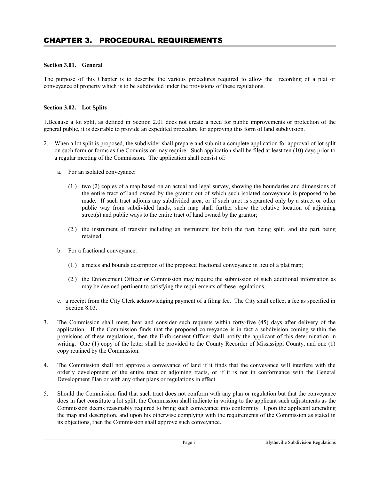# **Section 3.01. General**

The purpose of this Chapter is to describe the various procedures required to allow the recording of a plat or conveyance of property which is to be subdivided under the provisions of these regulations.

# **Section 3.02. Lot Splits**

1.Because a lot split, as defined in Section 2.01 does not create a need for public improvements or protection of the general public, it is desirable to provide an expedited procedure for approving this form of land subdivision.

- 2. When a lot split is proposed, the subdivider shall prepare and submit a complete application for approval of lot split on such form or forms as the Commission may require. Such application shall be filed at least ten (10) days prior to a regular meeting of the Commission. The application shall consist of:
	- a. For an isolated conveyance:
		- (1.) two (2) copies of a map based on an actual and legal survey, showing the boundaries and dimensions of the entire tract of land owned by the grantor out of which such isolated conveyance is proposed to be made. If such tract adjoins any subdivided area, or if such tract is separated only by a street or other public way from subdivided lands, such map shall further show the relative location of adjoining street(s) and public ways to the entire tract of land owned by the grantor;
		- (2.) the instrument of transfer including an instrument for both the part being split, and the part being retained.
	- b. For a fractional conveyance:
		- (1.) a metes and bounds description of the proposed fractional conveyance in lieu of a plat map;
		- (2.) the Enforcement Officer or Commission may require the submission of such additional information as may be deemed pertinent to satisfying the requirements of these regulations.
	- c. a receipt from the City Clerk acknowledging payment of a filing fee. The City shall collect a fee as specified in Section 8.03.
- 3. The Commission shall meet, hear and consider such requests within forty-five (45) days after delivery of the application. If the Commission finds that the proposed conveyance is in fact a subdivision coming within the provisions of these regulations, then the Enforcement Officer shall notify the applicant of this determination in writing. One (1) copy of the letter shall be provided to the County Recorder of Mississippi County, and one (1) copy retained by the Commission.
- 4. The Commission shall not approve a conveyance of land if it finds that the conveyance will interfere with the orderly development of the entire tract or adjoining tracts, or if it is not in conformance with the General Development Plan or with any other plans or regulations in effect.
- 5. Should the Commission find that such tract does not conform with any plan or regulation but that the conveyance does in fact constitute a lot split, the Commission shall indicate in writing to the applicant such adjustments as the Commission deems reasonably required to bring such conveyance into conformity. Upon the applicant amending the map and description, and upon his otherwise complying with the requirements of the Commission as stated in its objections, then the Commission shall approve such conveyance.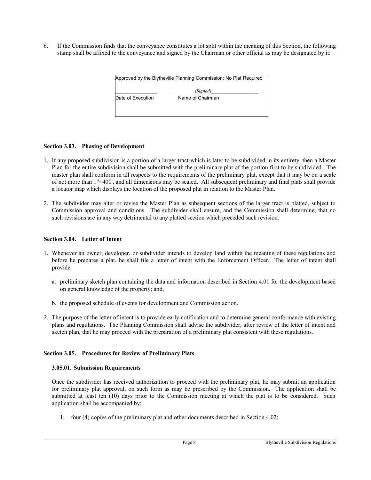6. If the Commission finds that the conveyance constitutes a lot split within the meaning of this Section, the following stamp shall be affixed to the conveyance and signed by the Chairman or other official as may be designated by it:

| Approved by the Blytheville Planning Commission: No Plat Required |                  |  |
|-------------------------------------------------------------------|------------------|--|
|                                                                   | (Signed)         |  |
| Date of Execution                                                 | Name of Chairman |  |
|                                                                   |                  |  |
|                                                                   |                  |  |

# **Section 3.03. Phasing of Development**

- 1. If any proposed subdivision is a portion of a larger tract which is later to be subdivided in its entirety, then a Master Plan for the entire subdivision shall be submitted with the preliminary plat of the portion first to be subdivided. The master plan shall conform in all respects to the requirements of the preliminary plat, except that it may be on a scale of not more than 1"=400', and all dimensions may be scaled. All subsequent preliminary and final plats shall provide a locator map which displays the location of the proposed plat in relation to the Master Plan.
- 2. The subdivider may alter or revise the Master Plan as subsequent sections of the larger tract is platted, subject to Commission approval and conditions. The subdivider shall ensure, and the Commission shall determine, that no such revisions are in any way detrimental to any platted section which preceded such revision.

# **Section 3.04. Letter of Intent**

- 1. Whenever an owner, developer, or subdivider intends to develop land within the meaning of these regulations and before he prepares a plat, he shall file a letter of intent with the Enforcement Officer. The letter of intent shall provide:
	- a. preliminary sketch plan containing the data and information described in Section 4.01 for the development based on general knowledge of the property; and,
	- b. the proposed schedule of events for development and Commission action.
- 2. The purpose of the letter of intent is to provide early notification and to determine general conformance with existing plans and regulations. The Planning Commission shall advise the subdivider, after review of the letter of intent and sketch plan, that he may proceed with the preparation of a preliminary plat consistent with these regulations.

# **Section 3.05. Procedures for Review of Preliminary Plats**

# **3.05.01. Submission Requirements**

Once the subdivider has received authorization to proceed with the preliminary plat, he may submit an application for preliminary plat approval, on such form as may be prescribed by the Commission. The application shall be submitted at least ten (10) days prior to the Commission meeting at which the plat is to be considered. Such application shall be accompanied by:

1. four (4) copies of the preliminary plat and other documents described in Section 4.02;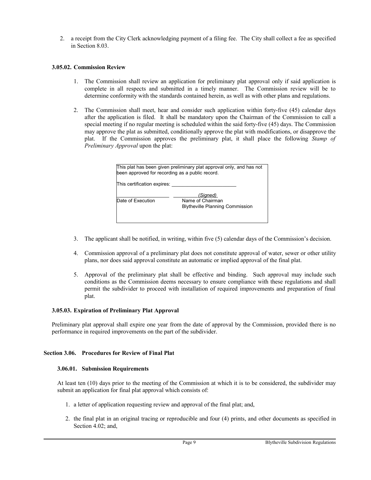2. a receipt from the City Clerk acknowledging payment of a filing fee. The City shall collect a fee as specified in Section 8.03.

# **3.05.02. Commission Review**

- 1. The Commission shall review an application for preliminary plat approval only if said application is complete in all respects and submitted in a timely manner. The Commission review will be to determine conformity with the standards contained herein, as well as with other plans and regulations.
- 2. The Commission shall meet, hear and consider such application within forty-five (45) calendar days after the application is filed. It shall be mandatory upon the Chairman of the Commission to call a special meeting if no regular meeting is scheduled within the said forty-five (45) days. The Commission may approve the plat as submitted, conditionally approve the plat with modifications, or disapprove the plat. If the Commission approves the preliminary plat, it shall place the following *Stamp of Preliminary Approval* upon the plat:

| This plat has been given preliminary plat approval only, and has not<br>been approved for recording as a public record. |                                                                        |  |
|-------------------------------------------------------------------------------------------------------------------------|------------------------------------------------------------------------|--|
| This certification expires:                                                                                             |                                                                        |  |
| Date of Execution                                                                                                       | (Signed)<br>Name of Chairman<br><b>Blytheville Planning Commission</b> |  |
|                                                                                                                         |                                                                        |  |

- 3. The applicant shall be notified, in writing, within five (5) calendar days of the Commission's decision.
- 4. Commission approval of a preliminary plat does not constitute approval of water, sewer or other utility plans, nor does said approval constitute an automatic or implied approval of the final plat.
- 5. Approval of the preliminary plat shall be effective and binding. Such approval may include such conditions as the Commission deems necessary to ensure compliance with these regulations and shall permit the subdivider to proceed with installation of required improvements and preparation of final plat.

# **3.05.03. Expiration of Preliminary Plat Approval**

Preliminary plat approval shall expire one year from the date of approval by the Commission, provided there is no performance in required improvements on the part of the subdivider.

# **Section 3.06. Procedures for Review of Final Plat**

# **3.06.01. Submission Requirements**

At least ten (10) days prior to the meeting of the Commission at which it is to be considered, the subdivider may submit an application for final plat approval which consists of:

- 1. a letter of application requesting review and approval of the final plat; and,
- 2. the final plat in an original tracing or reproducible and four (4) prints, and other documents as specified in Section 4.02; and,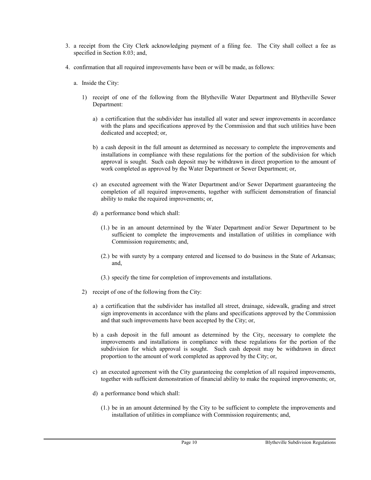- 3. a receipt from the City Clerk acknowledging payment of a filing fee. The City shall collect a fee as specified in Section 8.03; and,
- 4. confirmation that all required improvements have been or will be made, as follows:
	- a. Inside the City:
		- 1) receipt of one of the following from the Blytheville Water Department and Blytheville Sewer Department:
			- a) a certification that the subdivider has installed all water and sewer improvements in accordance with the plans and specifications approved by the Commission and that such utilities have been dedicated and accepted; or,
			- b) a cash deposit in the full amount as determined as necessary to complete the improvements and installations in compliance with these regulations for the portion of the subdivision for which approval is sought. Such cash deposit may be withdrawn in direct proportion to the amount of work completed as approved by the Water Department or Sewer Department; or,
			- c) an executed agreement with the Water Department and/or Sewer Department guaranteeing the completion of all required improvements, together with sufficient demonstration of financial ability to make the required improvements; or,
			- d) a performance bond which shall:
				- (1.) be in an amount determined by the Water Department and/or Sewer Department to be sufficient to complete the improvements and installation of utilities in compliance with Commission requirements; and,
				- (2.) be with surety by a company entered and licensed to do business in the State of Arkansas; and,
				- (3.) specify the time for completion of improvements and installations.
		- 2) receipt of one of the following from the City:
			- a) a certification that the subdivider has installed all street, drainage, sidewalk, grading and street sign improvements in accordance with the plans and specifications approved by the Commission and that such improvements have been accepted by the City; or,
			- b) a cash deposit in the full amount as determined by the City, necessary to complete the improvements and installations in compliance with these regulations for the portion of the subdivision for which approval is sought. Such cash deposit may be withdrawn in direct proportion to the amount of work completed as approved by the City; or,
			- c) an executed agreement with the City guaranteeing the completion of all required improvements, together with sufficient demonstration of financial ability to make the required improvements; or,
			- d) a performance bond which shall:
				- (1.) be in an amount determined by the City to be sufficient to complete the improvements and installation of utilities in compliance with Commission requirements; and,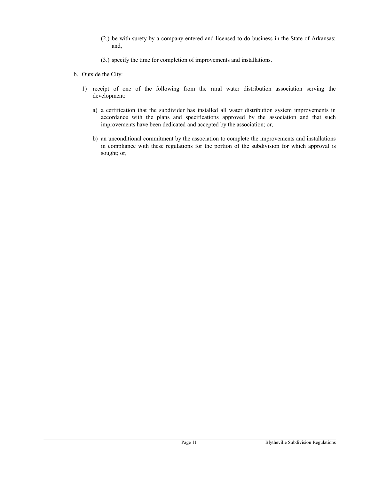- (2.) be with surety by a company entered and licensed to do business in the State of Arkansas; and,
- (3.) specify the time for completion of improvements and installations.
- b. Outside the City:
	- 1) receipt of one of the following from the rural water distribution association serving the development:
		- a) a certification that the subdivider has installed all water distribution system improvements in accordance with the plans and specifications approved by the association and that such improvements have been dedicated and accepted by the association; or,
		- b) an unconditional commitment by the association to complete the improvements and installations in compliance with these regulations for the portion of the subdivision for which approval is sought; or,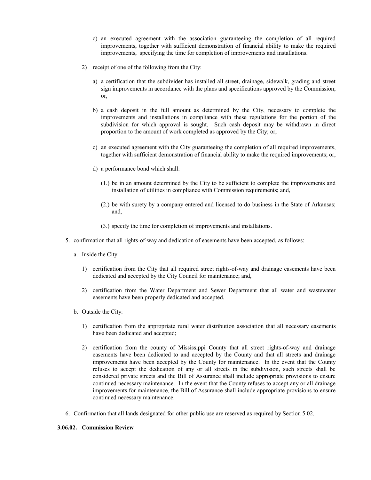- c) an executed agreement with the association guaranteeing the completion of all required improvements, together with sufficient demonstration of financial ability to make the required improvements, specifying the time for completion of improvements and installations.
- 2) receipt of one of the following from the City:
	- a) a certification that the subdivider has installed all street, drainage, sidewalk, grading and street sign improvements in accordance with the plans and specifications approved by the Commission; or,
	- b) a cash deposit in the full amount as determined by the City, necessary to complete the improvements and installations in compliance with these regulations for the portion of the subdivision for which approval is sought. Such cash deposit may be withdrawn in direct proportion to the amount of work completed as approved by the City; or,
	- c) an executed agreement with the City guaranteeing the completion of all required improvements, together with sufficient demonstration of financial ability to make the required improvements; or,
	- d) a performance bond which shall:
		- (1.) be in an amount determined by the City to be sufficient to complete the improvements and installation of utilities in compliance with Commission requirements; and,
		- (2.) be with surety by a company entered and licensed to do business in the State of Arkansas; and,
		- (3.) specify the time for completion of improvements and installations.
- 5. confirmation that all rights-of-way and dedication of easements have been accepted, as follows:
	- a. Inside the City:
		- 1) certification from the City that all required street rights-of-way and drainage easements have been dedicated and accepted by the City Council for maintenance; and,
		- 2) certification from the Water Department and Sewer Department that all water and wastewater easements have been properly dedicated and accepted.
	- b. Outside the City:
		- 1) certification from the appropriate rural water distribution association that all necessary easements have been dedicated and accepted;
		- 2) certification from the county of Mississippi County that all street rights-of-way and drainage easements have been dedicated to and accepted by the County and that all streets and drainage improvements have been accepted by the County for maintenance. In the event that the County refuses to accept the dedication of any or all streets in the subdivision, such streets shall be considered private streets and the Bill of Assurance shall include appropriate provisions to ensure continued necessary maintenance. In the event that the County refuses to accept any or all drainage improvements for maintenance, the Bill of Assurance shall include appropriate provisions to ensure continued necessary maintenance.
- 6. Confirmation that all lands designated for other public use are reserved as required by Section 5.02.

#### **3.06.02. Commission Review**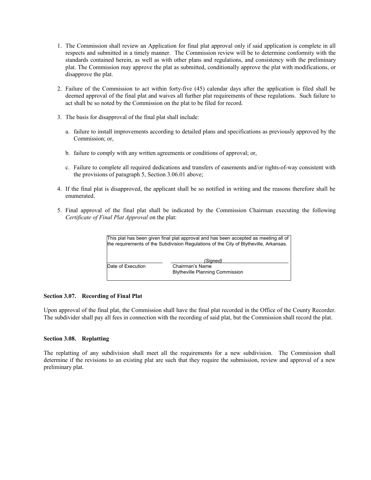- 1. The Commission shall review an Application for final plat approval only if said application is complete in all respects and submitted in a timely manner. The Commission review will be to determine conformity with the standards contained herein, as well as with other plans and regulations, and consistency with the preliminary plat. The Commission may approve the plat as submitted, conditionally approve the plat with modifications, or disapprove the plat.
- 2. Failure of the Commission to act within forty-five (45) calendar days after the application is filed shall be deemed approval of the final plat and waives all further plat requirements of these regulations. Such failure to act shall be so noted by the Commission on the plat to be filed for record.
- 3. The basis for disapproval of the final plat shall include:
	- a. failure to install improvements according to detailed plans and specifications as previously approved by the Commission; or,
	- b. failure to comply with any written agreements or conditions of approval; or,
	- c. Failure to complete all required dedications and transfers of easements and/or rights-of-way consistent with the provisions of paragraph 5, Section 3.06.01 above;
- 4. If the final plat is disapproved, the applicant shall be so notified in writing and the reasons therefore shall be enumerated.
- 5. Final approval of the final plat shall be indicated by the Commission Chairman executing the following *Certificate of Final Plat Approval* on the plat:

|                   | This plat has been given final plat approval and has been accepted as meeting all of<br>the requirements of the Subdivision Requlations of the City of Blytheville, Arkansas. |
|-------------------|-------------------------------------------------------------------------------------------------------------------------------------------------------------------------------|
| Date of Execution | (Signed)<br>Chairman's Name<br><b>Blytheville Planning Commission</b>                                                                                                         |

# **Section 3.07. Recording of Final Plat**

Upon approval of the final plat, the Commission shall have the final plat recorded in the Office of the County Recorder. The subdivider shall pay all fees in connection with the recording of said plat, but the Commission shall record the plat.

#### **Section 3.08. Replatting**

The replatting of any subdivision shall meet all the requirements for a new subdivision. The Commission shall determine if the revisions to an existing plat are such that they require the submission, review and approval of a new preliminary plat.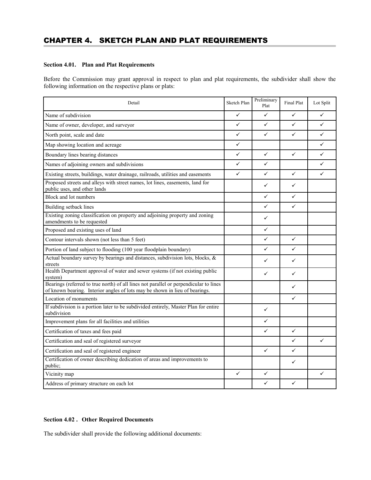# CHAPTER 4. SKETCH PLAN AND PLAT REQUIREMENTS

# **Section 4.01. Plan and Plat Requirements**

Before the Commission may grant approval in respect to plan and plat requirements, the subdivider shall show the following information on the respective plans or plats:

| Detail                                                                                                                                                               | Sketch Plan  | Preliminary<br>Plat | Final Plat   | Lot Split |
|----------------------------------------------------------------------------------------------------------------------------------------------------------------------|--------------|---------------------|--------------|-----------|
| Name of subdivision                                                                                                                                                  | $\checkmark$ | $\checkmark$        | $\checkmark$ | ✓         |
| Name of owner, developer, and surveyor                                                                                                                               | ✓            | $\checkmark$        | ✓            | ✓         |
| North point, scale and date                                                                                                                                          | ✓            | $\checkmark$        | $\checkmark$ | ✓         |
| Map showing location and acreage                                                                                                                                     | $\checkmark$ |                     |              | ✓         |
| Boundary lines bearing distances                                                                                                                                     | ✓            | $\checkmark$        | $\checkmark$ | ✓         |
| Names of adjoining owners and subdivisions                                                                                                                           | ✓            | ✓                   |              | ✓         |
| Existing streets, buildings, water drainage, railroads, utilities and easements                                                                                      | $\checkmark$ | ✓                   | $\checkmark$ | ✓         |
| Proposed streets and alleys with street names, lot lines, easements, land for<br>public uses, and other lands                                                        |              | ✓                   | $\checkmark$ |           |
| Block and lot numbers                                                                                                                                                |              | ✓                   | $\checkmark$ |           |
| Building setback lines                                                                                                                                               |              | ✓                   | $\checkmark$ |           |
| Existing zoning classification on property and adjoining property and zoning<br>amendments to be requested                                                           |              | ✓                   |              |           |
| Proposed and existing uses of land                                                                                                                                   |              | ✓                   |              |           |
| Contour intervals shown (not less than 5 feet)                                                                                                                       |              | ✓                   | $\checkmark$ |           |
| Portion of land subject to flooding (100 year floodplain boundary)                                                                                                   |              | ✓                   | $\checkmark$ |           |
| Actual boundary survey by bearings and distances, subdivision lots, blocks, &<br>streets                                                                             |              | ✓                   | $\checkmark$ |           |
| Health Department approval of water and sewer systems (if not existing public<br>system)                                                                             |              | ✓                   | ✓            |           |
| Bearings (referred to true north) of all lines not parallel or perpendicular to lines<br>of known bearing. Interior angles of lots may be shown in lieu of bearings. |              |                     | $\checkmark$ |           |
| Location of monuments                                                                                                                                                |              |                     | $\checkmark$ |           |
| If subdivision is a portion later to be subdivided entirely, Master Plan for entire<br>subdivision                                                                   |              | $\checkmark$        |              |           |
| Improvement plans for all facilities and utilities                                                                                                                   |              | ✓                   |              |           |
| Certification of taxes and fees paid                                                                                                                                 |              | $\checkmark$        | $\checkmark$ |           |
| Certification and seal of registered surveyor                                                                                                                        |              |                     | $\checkmark$ | ✓         |
| Certification and seal of registered engineer                                                                                                                        |              | $\checkmark$        | $\checkmark$ |           |
| Certification of owner describing dedication of areas and improvements to<br>public;                                                                                 |              |                     | $\checkmark$ |           |
| Vicinity map                                                                                                                                                         | $\checkmark$ | ✓                   |              | ✓         |
| Address of primary structure on each lot                                                                                                                             |              | ✓                   | ✓            |           |

# **Section 4.02 . Other Required Documents**

The subdivider shall provide the following additional documents: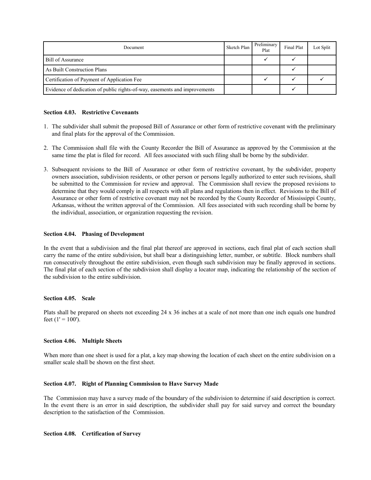| Document                                                                   | Sketch Plan | Preliminary<br>Plat | Final Plat | Lot Split |
|----------------------------------------------------------------------------|-------------|---------------------|------------|-----------|
| Bill of Assurance                                                          |             |                     |            |           |
| As Built Construction Plans                                                |             |                     |            |           |
| Certification of Payment of Application Fee                                |             |                     |            |           |
| Evidence of dedication of public rights-of-way, easements and improvements |             |                     |            |           |

#### **Section 4.03. Restrictive Covenants**

- 1. The subdivider shall submit the proposed Bill of Assurance or other form of restrictive covenant with the preliminary and final plats for the approval of the Commission.
- 2. The Commission shall file with the County Recorder the Bill of Assurance as approved by the Commission at the same time the plat is filed for record. All fees associated with such filing shall be borne by the subdivider.
- 3. Subsequent revisions to the Bill of Assurance or other form of restrictive covenant, by the subdivider, property owners association, subdivision residents, or other person or persons legally authorized to enter such revisions, shall be submitted to the Commission for review and approval. The Commission shall review the proposed revisions to determine that they would comply in all respects with all plans and regulations then in effect. Revisions to the Bill of Assurance or other form of restrictive covenant may not be recorded by the County Recorder of Mississippi County, Arkansas, without the written approval of the Commission. All fees associated with such recording shall be borne by the individual, association, or organization requesting the revision.

#### **Section 4.04. Phasing of Development**

In the event that a subdivision and the final plat thereof are approved in sections, each final plat of each section shall carry the name of the entire subdivision, but shall bear a distinguishing letter, number, or subtitle. Block numbers shall run consecutively throughout the entire subdivision, even though such subdivision may be finally approved in sections. The final plat of each section of the subdivision shall display a locator map, indicating the relationship of the section of the subdivision to the entire subdivision.

#### **Section 4.05. Scale**

Plats shall be prepared on sheets not exceeding 24 x 36 inches at a scale of not more than one inch equals one hundred feet  $(1' = 100')$ .

#### **Section 4.06. Multiple Sheets**

When more than one sheet is used for a plat, a key map showing the location of each sheet on the entire subdivision on a smaller scale shall be shown on the first sheet.

#### **Section 4.07. Right of Planning Commission to Have Survey Made**

The Commission may have a survey made of the boundary of the subdivision to determine if said description is correct. In the event there is an error in said description, the subdivider shall pay for said survey and correct the boundary description to the satisfaction of the Commission.

# **Section 4.08. Certification of Survey**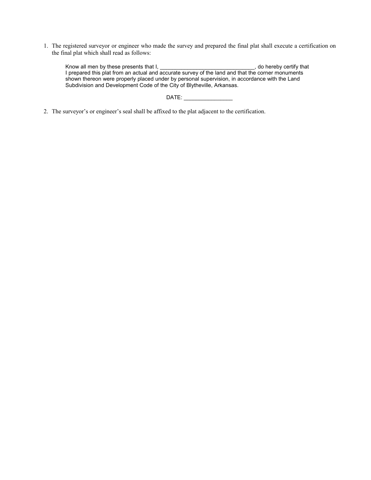1. The registered surveyor or engineer who made the survey and prepared the final plat shall execute a certification on the final plat which shall read as follows:

| Know all men by these presents that I.                                                            | do hereby certify that |
|---------------------------------------------------------------------------------------------------|------------------------|
| I prepared this plat from an actual and accurate survey of the land and that the corner monuments |                        |
| shown thereon were properly placed under by personal supervision, in accordance with the Land     |                        |
| Subdivision and Development Code of the City of Blytheville, Arkansas.                            |                        |

# DATE: \_\_\_\_\_\_\_\_\_\_\_\_\_\_\_\_

2. The surveyor's or engineer's seal shall be affixed to the plat adjacent to the certification.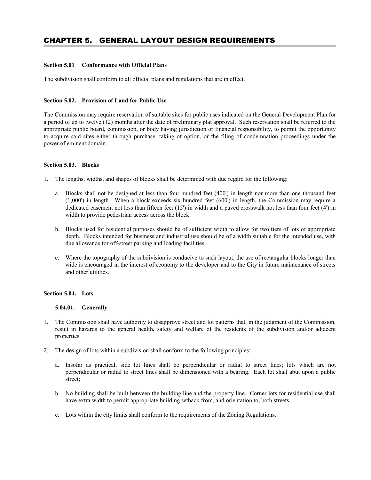# **Section 5.01 Conformance with Official Plans**

The subdivision shall conform to all official plans and regulations that are in effect.

# **Section 5.02. Provision of Land for Public Use**

The Commission may require reservation of suitable sites for public uses indicated on the General Development Plan for a period of up to twelve (12) months after the date of preliminary plat approval. Such reservation shall be referred to the appropriate public board, commission, or body having jurisdiction or financial responsibility, to permit the opportunity to acquire said sites either through purchase, taking of option, or the filing of condemnation proceedings under the power of eminent domain.

#### **Section 5.03. Blocks**

- 1. The lengths, widths, and shapes of blocks shall be determined with due regard for the following:
	- a. Blocks shall not be designed at less than four hundred feet (400') in length nor more than one thousand feet (1,000') in length. When a block exceeds six hundred feet (600') in length, the Commission may require a dedicated easement not less than fifteen feet (15') in width and a paved crosswalk not less than four feet (4') in width to provide pedestrian access across the block.
	- b. Blocks used for residential purposes should be of sufficient width to allow for two tiers of lots of appropriate depth. Blocks intended for business and industrial use should be of a width suitable for the intended use, with due allowance for off-street parking and loading facilities.
	- c. Where the topography of the subdivision is conducive to such layout, the use of rectangular blocks longer than wide is encouraged in the interest of economy to the developer and to the City in future maintenance of streets and other utilities.

# **Section 5.04. Lots**

#### **5.04.01. Generally**

- 1. The Commission shall have authority to disapprove street and lot patterns that, in the judgment of the Commission, result in hazards to the general health, safety and welfare of the residents of the subdivision and/or adjacent properties.
- 2. The design of lots within a subdivision shall conform to the following principles:
	- a. Insofar as practical, side lot lines shall be perpendicular or radial to street lines; lots which are not perpendicular or radial to street lines shall be dimensioned with a bearing. Each lot shall abut upon a public street;
	- b. No building shall be built between the building line and the property line. Corner lots for residential use shall have extra width to permit appropriate building setback from, and orientation to, both streets
	- c. Lots within the city limits shall conform to the requirements of the Zoning Regulations.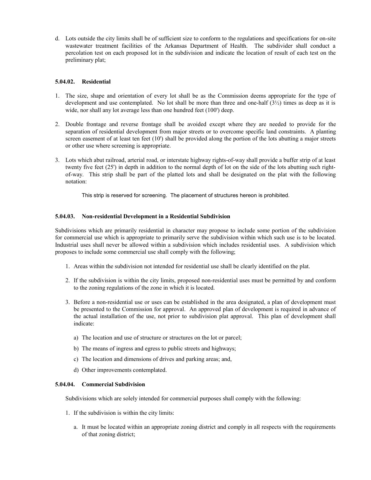d. Lots outside the city limits shall be of sufficient size to conform to the regulations and specifications for on-site wastewater treatment facilities of the Arkansas Department of Health. The subdivider shall conduct a percolation test on each proposed lot in the subdivision and indicate the location of result of each test on the preliminary plat;

# **5.04.02. Residential**

- 1. The size, shape and orientation of every lot shall be as the Commission deems appropriate for the type of development and use contemplated. No lot shall be more than three and one-half  $(3\frac{1}{2})$  times as deep as it is wide, nor shall any lot average less than one hundred feet (100') deep.
- 2. Double frontage and reverse frontage shall be avoided except where they are needed to provide for the separation of residential development from major streets or to overcome specific land constraints. A planting screen easement of at least ten feet (10') shall be provided along the portion of the lots abutting a major streets or other use where screening is appropriate.
- 3. Lots which abut railroad, arterial road, or interstate highway rights-of-way shall provide a buffer strip of at least twenty five feet (25') in depth in addition to the normal depth of lot on the side of the lots abutting such rightof-way. This strip shall be part of the platted lots and shall be designated on the plat with the following notation:

This strip is reserved for screening. The placement of structures hereon is prohibited.

#### **5.04.03. Non-residential Development in a Residential Subdivision**

Subdivisions which are primarily residential in character may propose to include some portion of the subdivision for commercial use which is appropriate to primarily serve the subdivision within which such use is to be located. Industrial uses shall never be allowed within a subdivision which includes residential uses. A subdivision which proposes to include some commercial use shall comply with the following;

- 1. Areas within the subdivision not intended for residential use shall be clearly identified on the plat.
- 2. If the subdivision is within the city limits, proposed non-residential uses must be permitted by and conform to the zoning regulations of the zone in which it is located.
- 3. Before a non-residential use or uses can be established in the area designated, a plan of development must be presented to the Commission for approval. An approved plan of development is required in advance of the actual installation of the use, not prior to subdivision plat approval. This plan of development shall indicate:
	- a) The location and use of structure or structures on the lot or parcel;
	- b) The means of ingress and egress to public streets and highways;
	- c) The location and dimensions of drives and parking areas; and,
	- d) Other improvements contemplated.

#### **5.04.04. Commercial Subdivision**

Subdivisions which are solely intended for commercial purposes shall comply with the following:

- 1. If the subdivision is within the city limits:
	- a. It must be located within an appropriate zoning district and comply in all respects with the requirements of that zoning district;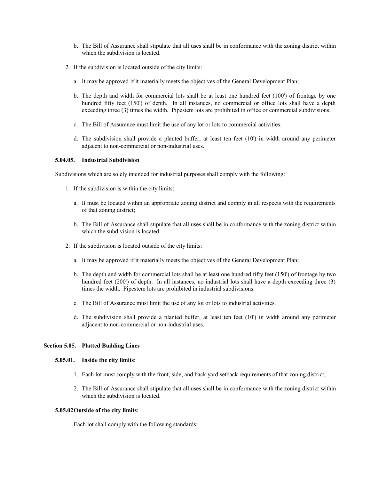- b. The Bill of Assurance shall stipulate that all uses shall be in conformance with the zoning district within which the subdivision is located.
- 2. If the subdivision is located outside of the city limits:
	- a. It may be approved if it materially meets the objectives of the General Development Plan;
	- b. The depth and width for commercial lots shall be at least one hundred feet (100') of frontage by one hundred fifty feet (150') of depth. In all instances, no commercial or office lots shall have a depth exceeding three (3) times the width. Pipestem lots are prohibited in office or commercial subdivisions.
	- c. The Bill of Assurance must limit the use of any lot or lots to commercial activities.
	- d. The subdivision shall provide a planted buffer, at least ten feet (10') in width around any perimeter adjacent to non-commercial or non-industrial uses.

#### **5.04.05. Industrial Subdivision**

Subdivisions which are solely intended for industrial purposes shall comply with the following:

- 1. If the subdivision is within the city limits:
	- a. It must be located within an appropriate zoning district and comply in all respects with the requirements of that zoning district;
	- b. The Bill of Assurance shall stipulate that all uses shall be in conformance with the zoning district within which the subdivision is located.
- 2. If the subdivision is located outside of the city limits:
	- a. It may be approved if it materially meets the objectives of the General Development Plan;
	- b. The depth and width for commercial lots shall be at least one hundred fifty feet (150') of frontage by two hundred feet (200') of depth. In all instances, no industrial lots shall have a depth exceeding three (3) times the width. Pipestem lots are prohibited in industrial subdivisions.
	- c. The Bill of Assurance must limit the use of any lot or lots to industrial activities.
	- d. The subdivision shall provide a planted buffer, at least ten feet (10') in width around any perimeter adjacent to non-commercial or non-industrial uses.

#### **Section 5.05. Platted Building Lines**

# **5.05.01. Inside the city limits**:

- 1. Each lot must comply with the front, side, and back yard setback requirements of that zoning district;
- 2. The Bill of Assurance shall stipulate that all uses shall be in conformance with the zoning district within which the subdivision is located.

#### **5.05.02Outside of the city limits**:

Each lot shall comply with the following standards: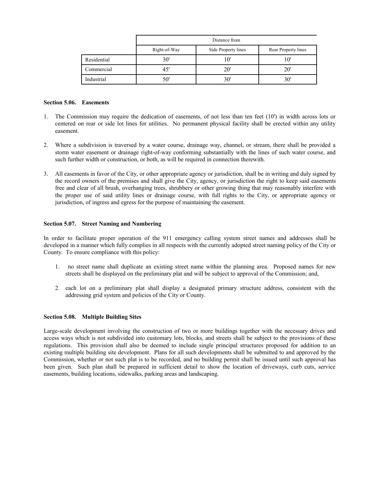|             | Distance from |                     |                     |
|-------------|---------------|---------------------|---------------------|
|             | Right-of-Way  | Side Property lines | Rear Property lines |
| Residential | 30'           | 10'                 | 10'                 |
| Commercial  | 45'           | 20'                 | 20'                 |
| Industrial  | 50'           | 30'                 | 30'                 |

#### **Section 5.06. Easements**

- 1. The Commission may require the dedication of easements, of not less than ten feet (10') in width across lots or centered on rear or side lot lines for utilities. No permanent physical facility shall be erected within any utility easement.
- 2. Where a subdivision is traversed by a water course, drainage way, channel, or stream, there shall be provided a storm water easement or drainage right-of-way conforming substantially with the lines of such water course, and such further width or construction, or both, as will be required in connection therewith.
- 3. All easements in favor of the City, or other appropriate agency or jurisdiction, shall be in writing and duly signed by the record owners of the premises and shall give the City, agency, or jurisdiction the right to keep said easements free and clear of all brush, overhanging trees, shrubbery or other growing thing that may reasonably interfere with the proper use of said utility lines or drainage course, with full rights to the City, or appropriate agency or jurisdiction, of ingress and egress for the purpose of maintaining the easement.

#### **Section 5.07. Street Naming and Numbering**

In order to facilitate proper operation of the 911 emergency calling system street names and addresses shall be developed in a manner which fully complies in all respects with the currently adopted street naming policy of the City or County. To ensure compliance with this policy:

- 1. no street name shall duplicate an existing street name within the planning area. Proposed names for new streets shall be displayed on the preliminary plat and will be subject to approval of the Commission; and,
- 2. each lot on a preliminary plat shall display a designated primary structure address, consistent with the addressing grid system and policies of the City or County.

#### **Section 5.08. Multiple Building Sites**

Large-scale development involving the construction of two or more buildings together with the necessary drives and access ways which is not subdivided into customary lots, blocks, and streets shall be subject to the provisions of these regulations. This provision shall also be deemed to include single principal structures proposed for addition to an existing multiple building site development. Plans for all such developments shall be submitted to and approved by the Commission, whether or not such plat is to be recorded, and no building permit shall be issued until such approval has been given. Such plan shall be prepared in sufficient detail to show the location of driveways, curb cuts, service easements, building locations, sidewalks, parking areas and landscaping.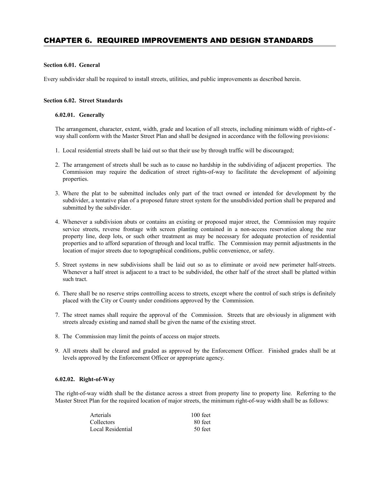# CHAPTER 6. REQUIRED IMPROVEMENTS AND DESIGN STANDARDS

#### **Section 6.01. General**

Every subdivider shall be required to install streets, utilities, and public improvements as described herein.

#### **Section 6.02. Street Standards**

#### **6.02.01. Generally**

The arrangement, character, extent, width, grade and location of all streets, including minimum width of rights-of way shall conform with the Master Street Plan and shall be designed in accordance with the following provisions:

- 1. Local residential streets shall be laid out so that their use by through traffic will be discouraged;
- 2. The arrangement of streets shall be such as to cause no hardship in the subdividing of adjacent properties. The Commission may require the dedication of street rights-of-way to facilitate the development of adjoining properties.
- 3. Where the plat to be submitted includes only part of the tract owned or intended for development by the subdivider, a tentative plan of a proposed future street system for the unsubdivided portion shall be prepared and submitted by the subdivider.
- 4. Whenever a subdivision abuts or contains an existing or proposed major street, the Commission may require service streets, reverse frontage with screen planting contained in a non-access reservation along the rear property line, deep lots, or such other treatment as may be necessary for adequate protection of residential properties and to afford separation of through and local traffic. The Commission may permit adjustments in the location of major streets due to topographical conditions, public convenience, or safety.
- 5. Street systems in new subdivisions shall be laid out so as to eliminate or avoid new perimeter half-streets. Whenever a half street is adjacent to a tract to be subdivided, the other half of the street shall be platted within such tract.
- 6. There shall be no reserve strips controlling access to streets, except where the control of such strips is definitely placed with the City or County under conditions approved by the Commission.
- 7. The street names shall require the approval of the Commission. Streets that are obviously in alignment with streets already existing and named shall be given the name of the existing street.
- 8. The Commission may limit the points of access on major streets.
- 9. All streets shall be cleared and graded as approved by the Enforcement Officer. Finished grades shall be at levels approved by the Enforcement Officer or appropriate agency.

## **6.02.02. Right-of-Way**

The right-of-way width shall be the distance across a street from property line to property line. Referring to the Master Street Plan for the required location of major streets, the minimum right-of-way width shall be as follows:

| Arterials         | $100$ feet |
|-------------------|------------|
| Collectors        | 80 feet    |
| Local Residential | 50 feet    |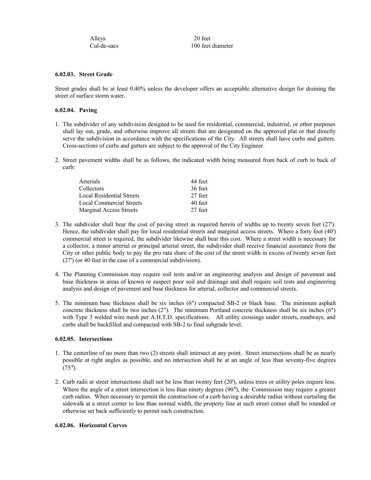| Alleys      | 20 feet           |
|-------------|-------------------|
| Cul-de-sacs | 100 feet diameter |

## **6.02.03. Street Grade**

Street grades shall be at least 0.40% unless the developer offers an acceptable alternative design for draining the street of surface storm water.

# **6.02.04. Paving**

- 1. The subdivider of any subdivision designed to be used for residential, commercial, industrial, or other purposes shall lay out, grade, and otherwise improve all streets that are designated on the approved plat or that directly serve the subdivision in accordance with the specifications of the City. All streets shall have curbs and gutters. Cross-sections of curbs and gutters are subject to the approval of the City Engineer.
- 2. Street pavement widths shall be as follows, the indicated width being measured from back of curb to back of curb:

| Arterials                       | 44 feet |
|---------------------------------|---------|
| Collectors                      | 36 feet |
| Local Residential Streets       | 27 feet |
| <b>Local Commercial Streets</b> | 40 feet |
| <b>Marginal Access Streets</b>  | 27 feet |

- 3. The subdivider shall bear the cost of paving street as required herein of widths up to twenty seven feet (27'). Hence, the subdivider shall pay for local residential streets and marginal access streets. Where a forty foot (40') commercial street is required, the subdivider likewise shall bear this cost. Where a street width is necessary for a collector, a minor arterial or principal arterial street, the subdivider shall receive financial assistance from the City or other public body to pay the pro rata share of the cost of the street width in excess of twenty seven feet (27') (or 40 feet in the case of a commercial subdivision).
- 4. The Planning Commission may require soil tests and/or an engineering analysis and design of pavement and base thickness in areas of known or suspect poor soil and drainage and shall require soil tests and engineering analysis and design of pavement and base thickness for arterial, collector and commercial streets.
- 5. The minimum base thickness shall be six inches (6") compacted SB-2 or black base. The minimum asphalt concrete thickness shall be two inches (2"). The minimum Portland concrete thickness shall be six inches (6") with Type 3 welded wire mesh per A.H.T.D. specifications. All utility crossings under streets, roadways, and curbs shall be backfilled and compacted with SB-2 to final subgrade level.

#### **6.02.05. Intersections**

- 1. The centerline of no more than two (2) streets shall intersect at any point. Street intersections shall be as nearly possible at right angles as possible, and no intersection shall be at an angle of less than seventy-five degrees  $(75^{\circ})$ .
- 2. Curb radii at street intersections shall not be less than twenty feet (20'), unless trees or utility poles require less. Where the angle of a street intersection is less than ninety degrees (90°), the Commission may require a greater curb radius. When necessary to permit the construction of a curb having a desirable radius without curtailing the sidewalk at a street corner to less than normal width, the property line at such street corner shall be rounded or otherwise set back sufficiently to permit such construction.

#### **6.02.06. Horizontal Curves**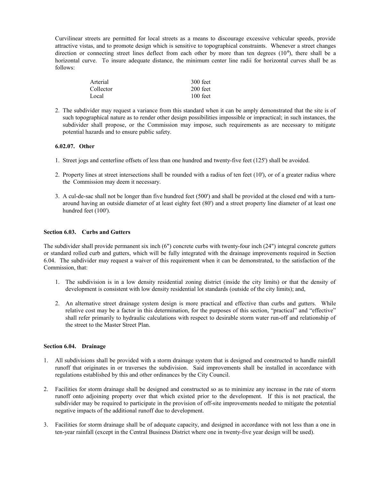Curvilinear streets are permitted for local streets as a means to discourage excessive vehicular speeds, provide attractive vistas, and to promote design which is sensitive to topographical constraints. Whenever a street changes direction or connecting street lines deflect from each other by more than ten degrees (10°), there shall be a horizontal curve. To insure adequate distance, the minimum center line radii for horizontal curves shall be as follows:

| Arterial  | 300 feet   |
|-----------|------------|
| Collector | $200$ feet |
| Local     | $100$ feet |

2. The subdivider may request a variance from this standard when it can be amply demonstrated that the site is of such topographical nature as to render other design possibilities impossible or impractical; in such instances, the subdivider shall propose, or the Commission may impose, such requirements as are necessary to mitigate potential hazards and to ensure public safety.

# **6.02.07. Other**

- 1. Street jogs and centerline offsets of less than one hundred and twenty-five feet (125') shall be avoided.
- 2. Property lines at street intersections shall be rounded with a radius of ten feet (10'), or of a greater radius where the Commission may deem it necessary.
- 3. A cul-de-sac shall not be longer than five hundred feet (500') and shall be provided at the closed end with a turnaround having an outside diameter of at least eighty feet (80') and a street property line diameter of at least one hundred feet (100').

#### **Section 6.03. Curbs and Gutters**

The subdivider shall provide permanent six inch (6") concrete curbs with twenty-four inch (24") integral concrete gutters or standard rolled curb and gutters, which will be fully integrated with the drainage improvements required in Section 6.04. The subdivider may request a waiver of this requirement when it can be demonstrated, to the satisfaction of the Commission, that:

- 1. The subdivision is in a low density residential zoning district (inside the city limits) or that the density of development is consistent with low density residential lot standards (outside of the city limits); and,
- 2. An alternative street drainage system design is more practical and effective than curbs and gutters. While relative cost may be a factor in this determination, for the purposes of this section, "practical" and "effective" shall refer primarily to hydraulic calculations with respect to desirable storm water run-off and relationship of the street to the Master Street Plan.

#### **Section 6.04. Drainage**

- 1. All subdivisions shall be provided with a storm drainage system that is designed and constructed to handle rainfall runoff that originates in or traverses the subdivision. Said improvements shall be installed in accordance with regulations established by this and other ordinances by the City Council.
- 2. Facilities for storm drainage shall be designed and constructed so as to minimize any increase in the rate of storm runoff onto adjoining property over that which existed prior to the development. If this is not practical, the subdivider may be required to participate in the provision of off-site improvements needed to mitigate the potential negative impacts of the additional runoff due to development.
- 3. Facilities for storm drainage shall be of adequate capacity, and designed in accordance with not less than a one in ten-year rainfall (except in the Central Business District where one in twenty-five year design will be used).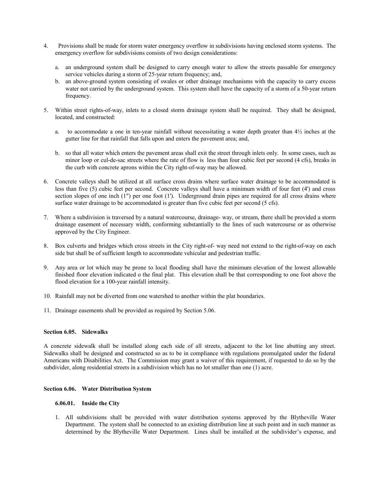- 4. Provisions shall be made for storm water emergency overflow in subdivisions having enclosed storm systems. The emergency overflow for subdivisions consists of two design considerations:
	- a. an underground system shall be designed to carry enough water to allow the streets passable for emergency service vehicles during a storm of 25-year return frequency; and,
	- b. an above-ground system consisting of swales or other drainage mechanisms with the capacity to carry excess water not carried by the underground system. This system shall have the capacity of a storm of a 50-year return frequency.
- 5. Within street rights-of-way, inlets to a closed storm drainage system shall be required. They shall be designed, located, and constructed:
	- a. to accommodate a one in ten-year rainfall without necessitating a water depth greater than 4½ inches at the gutter line for that rainfall that falls upon and enters the pavement area; and,
	- b. so that all water which enters the pavement areas shall exit the street through inlets only. In some cases, such as minor loop or cul-de-sac streets where the rate of flow is less than four cubic feet per second (4 cfs), breaks in the curb with concrete aprons within the City right-of-way may be allowed.
- 6. Concrete valleys shall be utilized at all surface cross drains where surface water drainage to be accommodated is less than five (5) cubic feet per second. Concrete valleys shall have a minimum width of four feet (4') and cross section slopes of one inch (1") per one foot (1'). Underground drain pipes are required for all cross drains where surface water drainage to be accommodated is greater than five cubic feet per second (5 cfs).
- 7. Where a subdivision is traversed by a natural watercourse, drainage- way, or stream, there shall be provided a storm drainage easement of necessary width, conforming substantially to the lines of such watercourse or as otherwise approved by the City Engineer.
- 8. Box culverts and bridges which cross streets in the City right-of- way need not extend to the right-of-way on each side but shall be of sufficient length to accommodate vehicular and pedestrian traffic.
- 9. Any area or lot which may be prone to local flooding shall have the minimum elevation of the lowest allowable finished floor elevation indicated o the final plat. This elevation shall be that corresponding to one foot above the flood elevation for a 100-year rainfall intensity.
- 10. Rainfall may not be diverted from one watershed to another within the plat boundaries.
- 11. Drainage easements shall be provided as required by Section 5.06.

#### **Section 6.05. Sidewalks**

A concrete sidewalk shall be installed along each side of all streets, adjacent to the lot line abutting any street. Sidewalks shall be designed and constructed so as to be in compliance with regulations promulgated under the federal Americans with Disabilities Act. The Commission may grant a waiver of this requirement, if requested to do so by the subdivider, along residential streets in a subdivision which has no lot smaller than one (1) acre.

# **Section 6.06. Water Distribution System**

# **6.06.01. Inside the City**

1. All subdivisions shall be provided with water distribution systems approved by the Blytheville Water Department. The system shall be connected to an existing distribution line at such point and in such manner as determined by the Blytheville Water Department. Lines shall be installed at the subdivider's expense, and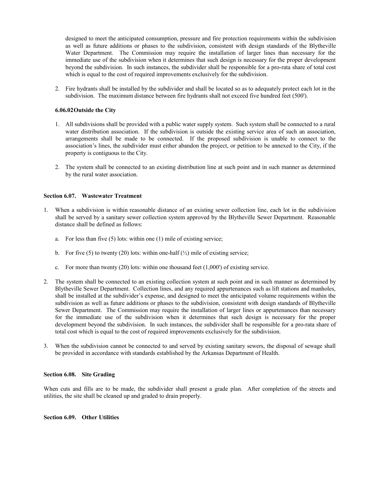designed to meet the anticipated consumption, pressure and fire protection requirements within the subdivision as well as future additions or phases to the subdivision, consistent with design standards of the Blytheville Water Department. The Commission may require the installation of larger lines than necessary for the immediate use of the subdivision when it determines that such design is necessary for the proper development beyond the subdivision. In such instances, the subdivider shall be responsible for a pro-rata share of total cost which is equal to the cost of required improvements exclusively for the subdivision.

2. Fire hydrants shall be installed by the subdivider and shall be located so as to adequately protect each lot in the subdivision. The maximum distance between fire hydrants shall not exceed five hundred feet (500').

#### **6.06.02Outside the City**

- 1. All subdivisions shall be provided with a public water supply system. Such system shall be connected to a rural water distribution association. If the subdivision is outside the existing service area of such an association, arrangements shall be made to be connected. If the proposed subdivision is unable to connect to the association's lines, the subdivider must either abandon the project, or petition to be annexed to the City, if the property is contiguous to the City.
- 2. The system shall be connected to an existing distribution line at such point and in such manner as determined by the rural water association.

#### **Section 6.07. Wastewater Treatment**

- 1. When a subdivision is within reasonable distance of an existing sewer collection line, each lot in the subdivision shall be served by a sanitary sewer collection system approved by the Blytheville Sewer Department. Reasonable distance shall be defined as follows:
	- a. For less than five (5) lots: within one (1) mile of existing service;
	- b. For five (5) to twenty (20) lots: within one-half  $(\frac{1}{2})$  mile of existing service;
	- c. For more than twenty (20) lots: within one thousand feet (1,000') of existing service.
- 2. The system shall be connected to an existing collection system at such point and in such manner as determined by Blytheville Sewer Department. Collection lines, and any required appurtenances such as lift stations and manholes, shall be installed at the subdivider's expense, and designed to meet the anticipated volume requirements within the subdivision as well as future additions or phases to the subdivision, consistent with design standards of Blytheville Sewer Department. The Commission may require the installation of larger lines or appurtenances than necessary for the immediate use of the subdivision when it determines that such design is necessary for the proper development beyond the subdivision. In such instances, the subdivider shall be responsible for a pro-rata share of total cost which is equal to the cost of required improvements exclusively for the subdivision.
- 3. When the subdivision cannot be connected to and served by existing sanitary sewers, the disposal of sewage shall be provided in accordance with standards established by the Arkansas Department of Health.

#### **Section 6.08. Site Grading**

When cuts and fills are to be made, the subdivider shall present a grade plan. After completion of the streets and utilities, the site shall be cleaned up and graded to drain properly.

# **Section 6.09. Other Utilities**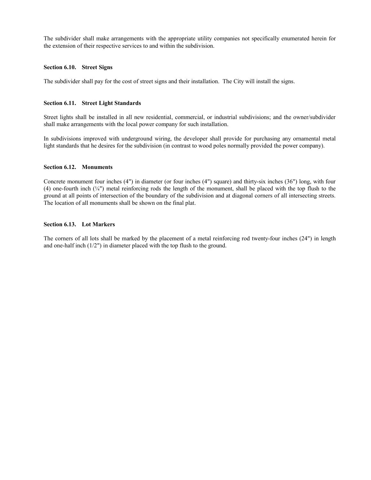The subdivider shall make arrangements with the appropriate utility companies not specifically enumerated herein for the extension of their respective services to and within the subdivision.

# **Section 6.10. Street Signs**

The subdivider shall pay for the cost of street signs and their installation. The City will install the signs.

#### **Section 6.11. Street Light Standards**

Street lights shall be installed in all new residential, commercial, or industrial subdivisions; and the owner/subdivider shall make arrangements with the local power company for such installation.

In subdivisions improved with underground wiring, the developer shall provide for purchasing any ornamental metal light standards that he desires for the subdivision (in contrast to wood poles normally provided the power company).

#### **Section 6.12. Monuments**

Concrete monument four inches (4") in diameter (or four inches (4") square) and thirty-six inches (36") long, with four (4) one-fourth inch  $(\frac{1}{4})$  metal reinforcing rods the length of the monument, shall be placed with the top flush to the ground at all points of intersection of the boundary of the subdivision and at diagonal corners of all intersecting streets. The location of all monuments shall be shown on the final plat.

#### **Section 6.13. Lot Markers**

The corners of all lots shall be marked by the placement of a metal reinforcing rod twenty-four inches (24") in length and one-half inch (1/2") in diameter placed with the top flush to the ground.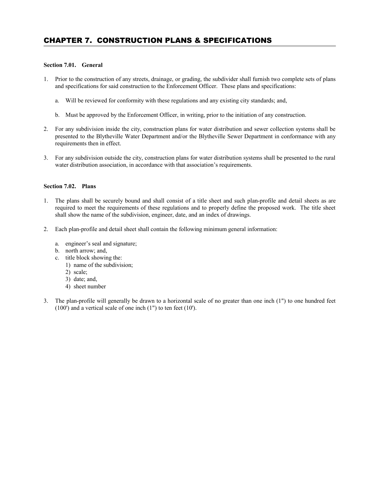# CHAPTER 7. CONSTRUCTION PLANS & SPECIFICATIONS

# **Section 7.01. General**

- 1. Prior to the construction of any streets, drainage, or grading, the subdivider shall furnish two complete sets of plans and specifications for said construction to the Enforcement Officer. These plans and specifications:
	- a. Will be reviewed for conformity with these regulations and any existing city standards; and,
	- b. Must be approved by the Enforcement Officer, in writing, prior to the initiation of any construction.
- 2. For any subdivision inside the city, construction plans for water distribution and sewer collection systems shall be presented to the Blytheville Water Department and/or the Blytheville Sewer Department in conformance with any requirements then in effect.
- 3. For any subdivision outside the city, construction plans for water distribution systems shall be presented to the rural water distribution association, in accordance with that association's requirements.

#### **Section 7.02. Plans**

- 1. The plans shall be securely bound and shall consist of a title sheet and such plan-profile and detail sheets as are required to meet the requirements of these regulations and to properly define the proposed work. The title sheet shall show the name of the subdivision, engineer, date, and an index of drawings.
- 2. Each plan-profile and detail sheet shall contain the following minimum general information:
	- a. engineer's seal and signature;
	- b. north arrow; and,
	- c. title block showing the:
		- 1) name of the subdivision;
		- 2) scale;
		- 3) date; and,
		- 4) sheet number
- 3. The plan-profile will generally be drawn to a horizontal scale of no greater than one inch (1") to one hundred feet (100') and a vertical scale of one inch (1") to ten feet (10').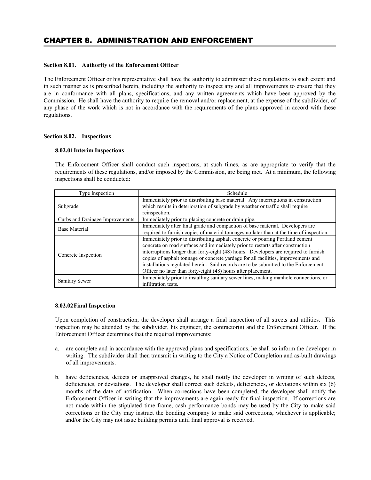#### **Section 8.01. Authority of the Enforcement Officer**

The Enforcement Officer or his representative shall have the authority to administer these regulations to such extent and in such manner as is prescribed herein, including the authority to inspect any and all improvements to ensure that they are in conformance with all plans, specifications, and any written agreements which have been approved by the Commission. He shall have the authority to require the removal and/or replacement, at the expense of the subdivider, of any phase of the work which is not in accordance with the requirements of the plans approved in accord with these regulations.

## **Section 8.02. Inspections**

#### **8.02.01Interim Inspections**

The Enforcement Officer shall conduct such inspections, at such times, as are appropriate to verify that the requirements of these regulations, and/or imposed by the Commission, are being met. At a minimum, the following inspections shall be conducted:

| Type Inspection                 | Schedule                                                                                                                                                                                                                                                                                                                                                                                                                                                                                              |
|---------------------------------|-------------------------------------------------------------------------------------------------------------------------------------------------------------------------------------------------------------------------------------------------------------------------------------------------------------------------------------------------------------------------------------------------------------------------------------------------------------------------------------------------------|
| Subgrade                        | Immediately prior to distributing base material. Any interruptions in construction<br>which results in deterioration of subgrade by weather or traffic shall require<br>reinspection.                                                                                                                                                                                                                                                                                                                 |
| Curbs and Drainage Improvements | Immediately prior to placing concrete or drain pipe.                                                                                                                                                                                                                                                                                                                                                                                                                                                  |
| <b>Base Material</b>            | Immediately after final grade and compaction of base material. Developers are<br>required to furnish copies of material tonnages no later than at the time of inspection.                                                                                                                                                                                                                                                                                                                             |
| Concrete Inspection             | Immediately prior to distributing asphalt concrete or pouring Portland cement<br>concrete on road surfaces and immediately prior to restarts after construction<br>interruptions longer than forty-eight (48) hours. Developers are required to furnish<br>copies of asphalt tonnage or concrete yardage for all facilities, improvements and<br>installations regulated herein. Said records are to be submitted to the Enforcement<br>Officer no later than forty-eight (48) hours after placement. |
| <b>Sanitary Sewer</b>           | Immediately prior to installing sanitary sewer lines, making manhole connections, or<br>infiltration tests.                                                                                                                                                                                                                                                                                                                                                                                           |

#### **8.02.02Final Inspection**

Upon completion of construction, the developer shall arrange a final inspection of all streets and utilities. This inspection may be attended by the subdivider, his engineer, the contractor(s) and the Enforcement Officer. If the Enforcement Officer determines that the required improvements:

- a. are complete and in accordance with the approved plans and specifications, he shall so inform the developer in writing. The subdivider shall then transmit in writing to the City a Notice of Completion and as-built drawings of all improvements.
- b. have deficiencies, defects or unapproved changes, he shall notify the developer in writing of such defects, deficiencies, or deviations. The developer shall correct such defects, deficiencies, or deviations within six (6) months of the date of notification. When corrections have been completed, the developer shall notify the Enforcement Officer in writing that the improvements are again ready for final inspection. If corrections are not made within the stipulated time frame, cash performance bonds may be used by the City to make said corrections or the City may instruct the bonding company to make said corrections, whichever is applicable; and/or the City may not issue building permits until final approval is received.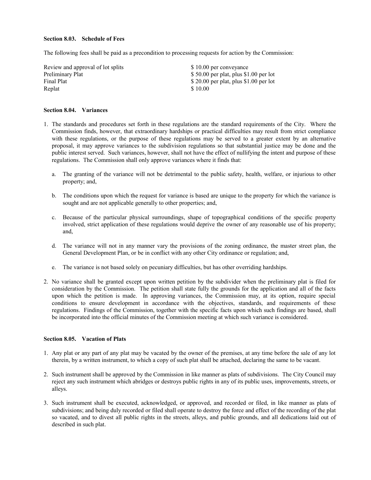#### **Section 8.03. Schedule of Fees**

The following fees shall be paid as a precondition to processing requests for action by the Commission:

| Review and approval of lot splits | \$10.00 per conveyance                  |
|-----------------------------------|-----------------------------------------|
| Preliminary Plat                  | $$50.00$ per plat, plus $$1.00$ per lot |
| Final Plat                        | \$ 20.00 per plat, plus $$1.00$ per lot |
| Replat                            | \$10.00                                 |

# **Section 8.04. Variances**

- 1. The standards and procedures set forth in these regulations are the standard requirements of the City. Where the Commission finds, however, that extraordinary hardships or practical difficulties may result from strict compliance with these regulations, or the purpose of these regulations may be served to a greater extent by an alternative proposal, it may approve variances to the subdivision regulations so that substantial justice may be done and the public interest served. Such variances, however, shall not have the effect of nullifying the intent and purpose of these regulations. The Commission shall only approve variances where it finds that:
	- a. The granting of the variance will not be detrimental to the public safety, health, welfare, or injurious to other property; and,
	- b. The conditions upon which the request for variance is based are unique to the property for which the variance is sought and are not applicable generally to other properties; and,
	- c. Because of the particular physical surroundings, shape of topographical conditions of the specific property involved, strict application of these regulations would deprive the owner of any reasonable use of his property; and,
	- d. The variance will not in any manner vary the provisions of the zoning ordinance, the master street plan, the General Development Plan, or be in conflict with any other City ordinance or regulation; and,
	- e. The variance is not based solely on pecuniary difficulties, but has other overriding hardships.
- 2. No variance shall be granted except upon written petition by the subdivider when the preliminary plat is filed for consideration by the Commission. The petition shall state fully the grounds for the application and all of the facts upon which the petition is made. In approving variances, the Commission may, at its option, require special conditions to ensure development in accordance with the objectives, standards, and requirements of these regulations. Findings of the Commission, together with the specific facts upon which such findings are based, shall be incorporated into the official minutes of the Commission meeting at which such variance is considered.

#### **Section 8.05. Vacation of Plats**

- 1. Any plat or any part of any plat may be vacated by the owner of the premises, at any time before the sale of any lot therein, by a written instrument, to which a copy of such plat shall be attached, declaring the same to be vacant.
- 2. Such instrument shall be approved by the Commission in like manner as plats of subdivisions. The City Council may reject any such instrument which abridges or destroys public rights in any of its public uses, improvements, streets, or alleys.
- 3. Such instrument shall be executed, acknowledged, or approved, and recorded or filed, in like manner as plats of subdivisions; and being duly recorded or filed shall operate to destroy the force and effect of the recording of the plat so vacated, and to divest all public rights in the streets, alleys, and public grounds, and all dedications laid out of described in such plat.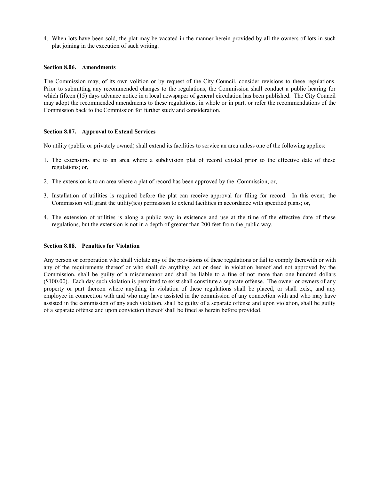4. When lots have been sold, the plat may be vacated in the manner herein provided by all the owners of lots in such plat joining in the execution of such writing.

#### **Section 8.06. Amendments**

The Commission may, of its own volition or by request of the City Council, consider revisions to these regulations. Prior to submitting any recommended changes to the regulations, the Commission shall conduct a public hearing for which fifteen (15) days advance notice in a local newspaper of general circulation has been published. The City Council may adopt the recommended amendments to these regulations, in whole or in part, or refer the recommendations of the Commission back to the Commission for further study and consideration.

#### **Section 8.07. Approval to Extend Services**

No utility (public or privately owned) shall extend its facilities to service an area unless one of the following applies:

- 1. The extensions are to an area where a subdivision plat of record existed prior to the effective date of these regulations; or,
- 2. The extension is to an area where a plat of record has been approved by the Commission; or,
- 3. Installation of utilities is required before the plat can receive approval for filing for record. In this event, the Commission will grant the utility(ies) permission to extend facilities in accordance with specified plans; or,
- 4. The extension of utilities is along a public way in existence and use at the time of the effective date of these regulations, but the extension is not in a depth of greater than 200 feet from the public way.

# **Section 8.08. Penalties for Violation**

Any person or corporation who shall violate any of the provisions of these regulations or fail to comply therewith or with any of the requirements thereof or who shall do anything, act or deed in violation hereof and not approved by the Commission, shall be guilty of a misdemeanor and shall be liable to a fine of not more than one hundred dollars (\$100.00). Each day such violation is permitted to exist shall constitute a separate offense. The owner or owners of any property or part thereon where anything in violation of these regulations shall be placed, or shall exist, and any employee in connection with and who may have assisted in the commission of any connection with and who may have assisted in the commission of any such violation, shall be guilty of a separate offense and upon violation, shall be guilty of a separate offense and upon conviction thereof shall be fined as herein before provided.